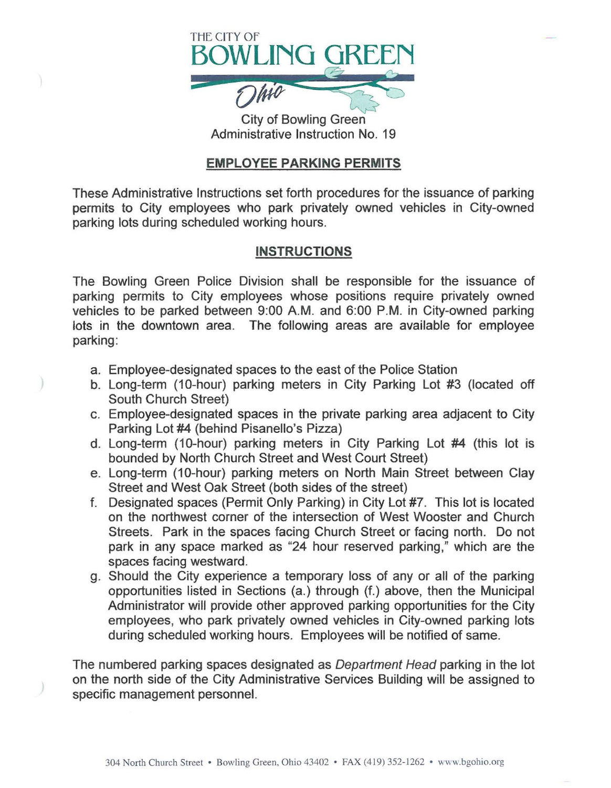

City of Bowling Green Administrative Instruction No. 19

## **EMPLOYEE PARKING PERMITS**

These Administrative Instructions set forth procedures for the issuance of parking permits to City employees who park privately owned vehicles in City-owned parking lots during scheduled working hours.

## **INSTRUCTIONS**

The Bowling Green Police Division shall be responsible for the issuance of parking permits to City employees whose positions require privately owned vehicles to be parked between 9:00 A.M. and 6:00 P.M. in City-owned parking lots in the downtown area. The following areas are available for employee parking:

- a. Employee-designated spaces to the east of the Police Station
- b. Long-term (10-hour) parking meters in City Parking Lot #3 (located off South Church Street)
- c. Employee-designated spaces in the private parking area adjacent to City Parking Lot #4 (behind Pisanello's Pizza)
- d. Long-term (10-hour) parking meters in City Parking Lot #4 (this lot is bounded by North Church Street and West Court Street)
- e. Long-term (10-hour) parking meters on North Main Street between Clay Street and West Oak Street (both sides of the street)
- f. Designated spaces (Permit Only Parking) in City Lot #7. This lot is located on the northwest corner of the intersection of West Wooster and Church Streets. Park in the spaces facing Church Street or facing north. Do not park in any space marked as "24 hour reserved parking," which are the spaces facing westward.
- g. Should the City experience a temporary loss of any or all of the parking opportunities listed in Sections (a.) through (f.) above, then the Municipal Administrator will provide other approved parking opportunities for the City employees, who park privately owned vehicles in City-owned parking lots during scheduled working hours. Employees will be notified of same.

The numbered parking spaces designated as Department Head parking in the lot on the north side of the City Administrative Services Building will be assigned to specific management personnel.